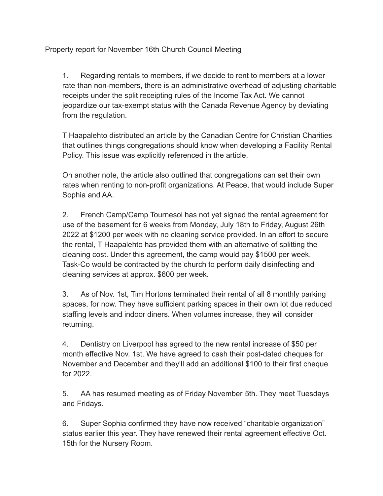Property report for November 16th Church Council Meeting

1. Regarding rentals to members, if we decide to rent to members at a lower rate than non-members, there is an administrative overhead of adjusting charitable receipts under the split receipting rules of the Income Tax Act. We cannot jeopardize our tax-exempt status with the Canada Revenue Agency by deviating from the regulation.

T Haapalehto distributed an article by the Canadian Centre for Christian Charities that outlines things congregations should know when developing a Facility Rental Policy. This issue was explicitly referenced in the article.

On another note, the article also outlined that congregations can set their own rates when renting to non-profit organizations. At Peace, that would include Super Sophia and AA.

2. French Camp/Camp Tournesol has not yet signed the rental agreement for use of the basement for 6 weeks from Monday, July 18th to Friday, August 26th 2022 at \$1200 per week with no cleaning service provided. In an effort to secure the rental, T Haapalehto has provided them with an alternative of splitting the cleaning cost. Under this agreement, the camp would pay \$1500 per week. Task-Co would be contracted by the church to perform daily disinfecting and cleaning services at approx. \$600 per week.

3. As of Nov. 1st, Tim Hortons terminated their rental of all 8 monthly parking spaces, for now. They have sufficient parking spaces in their own lot due reduced staffing levels and indoor diners. When volumes increase, they will consider returning.

4. Dentistry on Liverpool has agreed to the new rental increase of \$50 per month effective Nov. 1st. We have agreed to cash their post-dated cheques for November and December and they'll add an additional \$100 to their first cheque for 2022.

5. AA has resumed meeting as of Friday November 5th. They meet Tuesdays and Fridays.

6. Super Sophia confirmed they have now received "charitable organization" status earlier this year. They have renewed their rental agreement effective Oct. 15th for the Nursery Room.